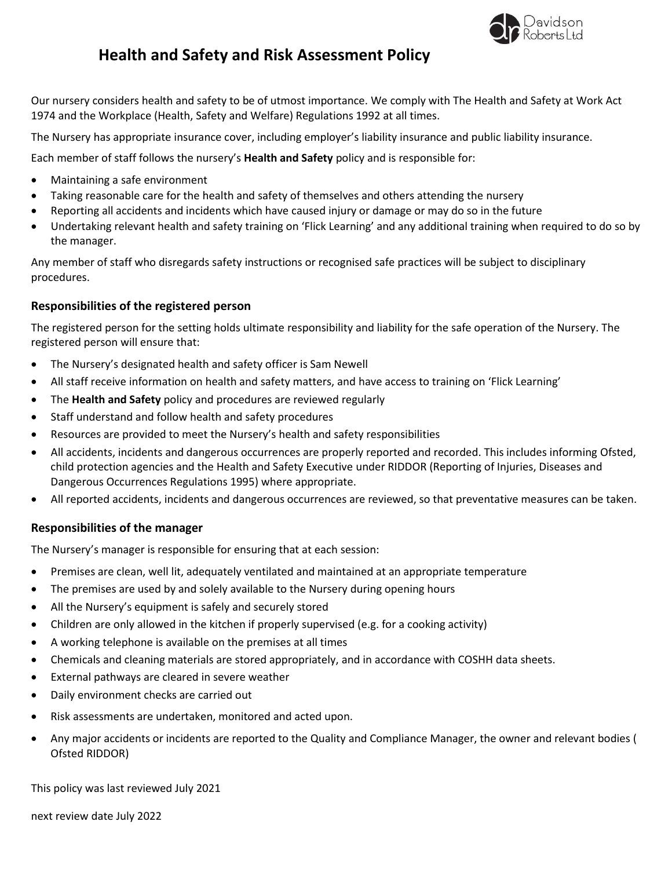

Our nursery considers health and safety to be of utmost importance. We comply with The Health and Safety at Work Act 1974 and the Workplace (Health, Safety and Welfare) Regulations 1992 at all times.

The Nursery has appropriate insurance cover, including employer's liability insurance and public liability insurance.

Each member of staff follows the nursery's **Health and Safety** policy and is responsible for:

- Maintaining a safe environment
- Taking reasonable care for the health and safety of themselves and others attending the nursery
- Reporting all accidents and incidents which have caused injury or damage or may do so in the future
- Undertaking relevant health and safety training on 'Flick Learning' and any additional training when required to do so by the manager.

Any member of staff who disregards safety instructions or recognised safe practices will be subject to disciplinary procedures.

# **Responsibilities of the registered person**

The registered person for the setting holds ultimate responsibility and liability for the safe operation of the Nursery. The registered person will ensure that:

- The Nursery's designated health and safety officer is Sam Newell
- All staff receive information on health and safety matters, and have access to training on 'Flick Learning'
- The **Health and Safety** policy and procedures are reviewed regularly
- Staff understand and follow health and safety procedures
- Resources are provided to meet the Nursery's health and safety responsibilities
- All accidents, incidents and dangerous occurrences are properly reported and recorded. This includes informing Ofsted, child protection agencies and the Health and Safety Executive under RIDDOR (Reporting of Injuries, Diseases and Dangerous Occurrences Regulations 1995) where appropriate.
- All reported accidents, incidents and dangerous occurrences are reviewed, so that preventative measures can be taken.

# **Responsibilities of the manager**

The Nursery's manager is responsible for ensuring that at each session:

- Premises are clean, well lit, adequately ventilated and maintained at an appropriate temperature
- The premises are used by and solely available to the Nursery during opening hours
- All the Nursery's equipment is safely and securely stored
- Children are only allowed in the kitchen if properly supervised (e.g. for a cooking activity)
- A working telephone is available on the premises at all times
- Chemicals and cleaning materials are stored appropriately, and in accordance with COSHH data sheets.
- External pathways are cleared in severe weather
- Daily environment checks are carried out
- Risk assessments are undertaken, monitored and acted upon.
- Any major accidents or incidents are reported to the Quality and Compliance Manager, the owner and relevant bodies ( Ofsted RIDDOR)

This policy was last reviewed July 2021

next review date July 2022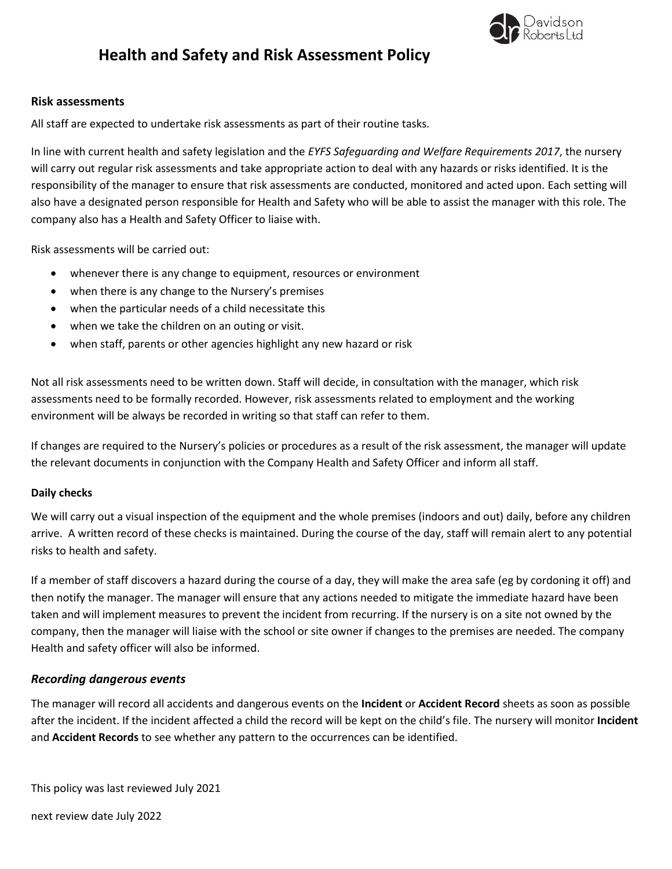

#### **Risk assessments**

All staff are expected to undertake risk assessments as part of their routine tasks.

In line with current health and safety legislation and the *EYFS Safeguarding and Welfare Requirements 2017*, the nursery will carry out regular risk assessments and take appropriate action to deal with any hazards or risks identified. It is the responsibility of the manager to ensure that risk assessments are conducted, monitored and acted upon. Each setting will also have a designated person responsible for Health and Safety who will be able to assist the manager with this role. The company also has a Health and Safety Officer to liaise with.

Risk assessments will be carried out:

- whenever there is any change to equipment, resources or environment
- when there is any change to the Nursery's premises
- when the particular needs of a child necessitate this
- when we take the children on an outing or visit.
- when staff, parents or other agencies highlight any new hazard or risk

Not all risk assessments need to be written down. Staff will decide, in consultation with the manager, which risk assessments need to be formally recorded. However, risk assessments related to employment and the working environment will be always be recorded in writing so that staff can refer to them.

If changes are required to the Nursery's policies or procedures as a result of the risk assessment, the manager will update the relevant documents in conjunction with the Company Health and Safety Officer and inform all staff.

#### **Daily checks**

We will carry out a visual inspection of the equipment and the whole premises (indoors and out) daily, before any children arrive. A written record of these checks is maintained. During the course of the day, staff will remain alert to any potential risks to health and safety.

If a member of staff discovers a hazard during the course of a day, they will make the area safe (eg by cordoning it off) and then notify the manager. The manager will ensure that any actions needed to mitigate the immediate hazard have been taken and will implement measures to prevent the incident from recurring. If the nursery is on a site not owned by the company, then the manager will liaise with the school or site owner if changes to the premises are needed. The company Health and safety officer will also be informed.

#### *Recording dangerous events*

The manager will record all accidents and dangerous events on the **Incident** or **Accident Record** sheets as soon as possible after the incident. If the incident affected a child the record will be kept on the child's file. The nursery will monitor **Incident** and **Accident Records** to see whether any pattern to the occurrences can be identified.

This policy was last reviewed July 2021

next review date July 2022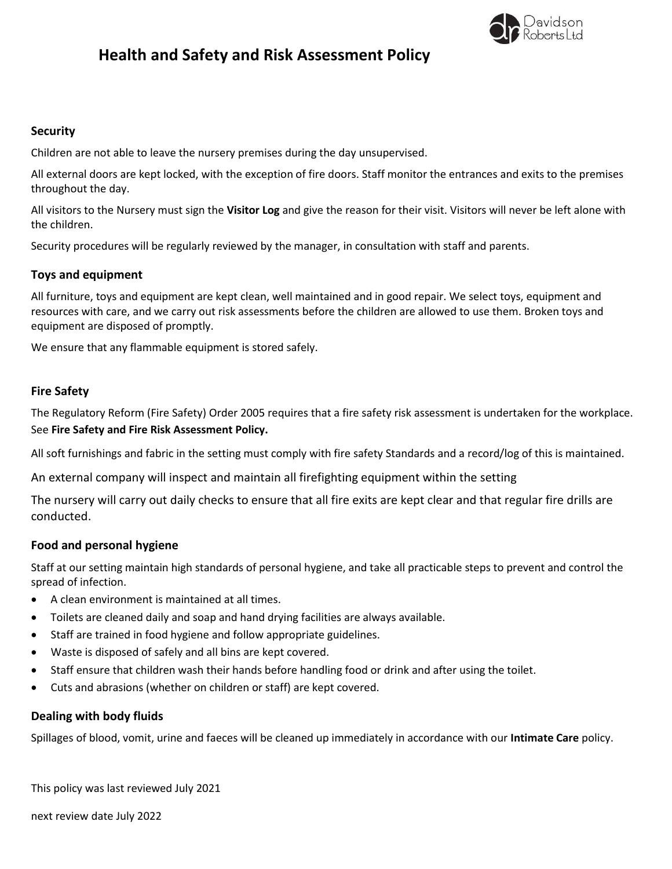

# **Security**

Children are not able to leave the nursery premises during the day unsupervised.

All external doors are kept locked, with the exception of fire doors. Staff monitor the entrances and exits to the premises throughout the day.

All visitors to the Nursery must sign the **Visitor Log** and give the reason for their visit. Visitors will never be left alone with the children.

Security procedures will be regularly reviewed by the manager, in consultation with staff and parents.

# **Toys and equipment**

All furniture, toys and equipment are kept clean, well maintained and in good repair. We select toys, equipment and resources with care, and we carry out risk assessments before the children are allowed to use them. Broken toys and equipment are disposed of promptly.

We ensure that any flammable equipment is stored safely.

# **Fire Safety**

The Regulatory Reform (Fire Safety) Order 2005 requires that a fire safety risk assessment is undertaken for the workplace. See **Fire Safety and Fire Risk Assessment Policy.**

All soft furnishings and fabric in the setting must comply with fire safety Standards and a record/log of this is maintained.

An external company will inspect and maintain all firefighting equipment within the setting

The nursery will carry out daily checks to ensure that all fire exits are kept clear and that regular fire drills are conducted.

# **Food and personal hygiene**

Staff at our setting maintain high standards of personal hygiene, and take all practicable steps to prevent and control the spread of infection.

- A clean environment is maintained at all times.
- Toilets are cleaned daily and soap and hand drying facilities are always available.
- Staff are trained in food hygiene and follow appropriate guidelines.
- Waste is disposed of safely and all bins are kept covered.
- Staff ensure that children wash their hands before handling food or drink and after using the toilet.
- Cuts and abrasions (whether on children or staff) are kept covered.

# **Dealing with body fluids**

Spillages of blood, vomit, urine and faeces will be cleaned up immediately in accordance with our **Intimate Care** policy.

This policy was last reviewed July 2021

next review date July 2022